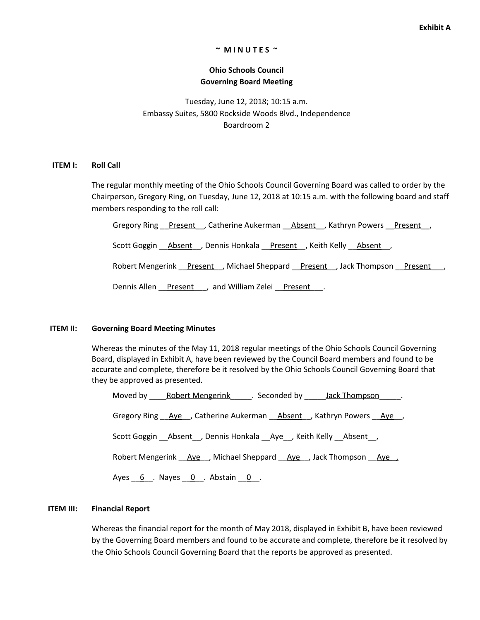#### **~ M I N U T E S ~**

# **Ohio Schools Council Governing Board Meeting**

Tuesday, June 12, 2018; 10:15 a.m. Embassy Suites, 5800 Rockside Woods Blvd., Independence Boardroom 2

#### **ITEM I: Roll Call**

The regular monthly meeting of the Ohio Schools Council Governing Board was called to order by the Chairperson, Gregory Ring, on Tuesday, June 12, 2018 at 10:15 a.m. with the following board and staff members responding to the roll call:

Gregory Ring Present , Catherine Aukerman **Absent** , Kathryn Powers Present ,

Scott Goggin \_\_Absent\_\_, Dennis Honkala \_\_Present\_\_, Keith Kelly \_\_Absent\_\_,

Robert Mengerink **Present** , Michael Sheppard Present , Jack Thompson Present

Dennis Allen Present , and William Zelei Present .

#### **ITEM II: Governing Board Meeting Minutes**

Whereas the minutes of the May 11, 2018 regular meetings of the Ohio Schools Council Governing Board, displayed in Exhibit A, have been reviewed by the Council Board members and found to be accurate and complete, therefore be it resolved by the Ohio Schools Council Governing Board that they be approved as presented.

| Moved by Robert Mengerink For Seconded by Jack Thompson          |  |
|------------------------------------------------------------------|--|
| Gregory Ring Aye, Catherine Aukerman Absent, Kathryn Powers Aye, |  |
| Scott Goggin Absent , Dennis Honkala Aye , Keith Kelly Absent ,  |  |
| Robert Mengerink Aye, Michael Sheppard Aye, Jack Thompson Aye,   |  |
| Ayes $6$ . Nayes $0$ . Abstain $0$ .                             |  |

### **ITEM III: Financial Report**

Whereas the financial report for the month of May 2018, displayed in Exhibit B, have been reviewed by the Governing Board members and found to be accurate and complete, therefore be it resolved by the Ohio Schools Council Governing Board that the reports be approved as presented.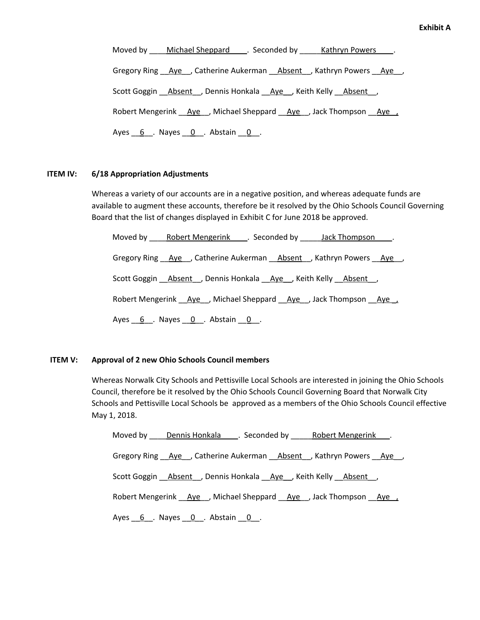Moved by Michael Sheppard L. Seconded by Kathryn Powers L. Gregory Ring Aye , Catherine Aukerman Absent , Kathryn Powers Aye, Scott Goggin \_\_Absent\_\_, Dennis Honkala \_\_Aye\_\_, Keith Kelly \_\_Absent\_\_, Robert Mengerink \_\_\_\_\_\_\_\_, Michael Sheppard \_\_\_\_\_\_\_\_\_\_\_, Jack Thompson \_\_\_\_\_\_\_\_\_\_ Ayes  $6$ . Nayes  $0$ . Abstain  $0$ .

# **ITEM IV: 6/18 Appropriation Adjustments**

Whereas a variety of our accounts are in a negative position, and whereas adequate funds are available to augment these accounts, therefore be it resolved by the Ohio Schools Council Governing Board that the list of changes displayed in Exhibit C for June 2018 be approved.

Moved by \_\_\_\_Robert Mengerink\_\_\_\_. Seconded by \_\_\_\_\_Jack Thompson\_\_\_\_. Gregory Ring \_\_Aye\_\_, Catherine Aukerman \_\_Absent\_\_, Kathryn Powers \_\_Aye\_\_, Scott Goggin **Absent**, Dennis Honkala Aye, Keith Kelly Absent, Robert Mengerink  $\overline{Aye}$ , Michael Sheppard  $\overline{Aye}$ , Jack Thompson  $\overline{Aye}$ Ayes  $6$ . Nayes  $0$ . Abstain  $0$ .

## **ITEM V: Approval of 2 new Ohio Schools Council members**

Whereas Norwalk City Schools and Pettisville Local Schools are interested in joining the Ohio Schools Council, therefore be it resolved by the Ohio Schools Council Governing Board that Norwalk City Schools and Pettisville Local Schools be approved as a members of the Ohio Schools Council effective May 1, 2018.

|                           |                                                              | Moved by Dennis Honkala Seconded by Robert Mengerink.            |
|---------------------------|--------------------------------------------------------------|------------------------------------------------------------------|
|                           |                                                              | Gregory Ring Aye, Catherine Aukerman Absent, Kathryn Powers Aye, |
|                           | Scott Goggin Absent, Dennis Honkala Aye, Keith Kelly Absent, |                                                                  |
|                           |                                                              | Robert Mengerink Ave, Michael Sheppard Ave, Jack Thompson Ave,   |
| Ayes 6 Nayes 0 Abstain 0. |                                                              |                                                                  |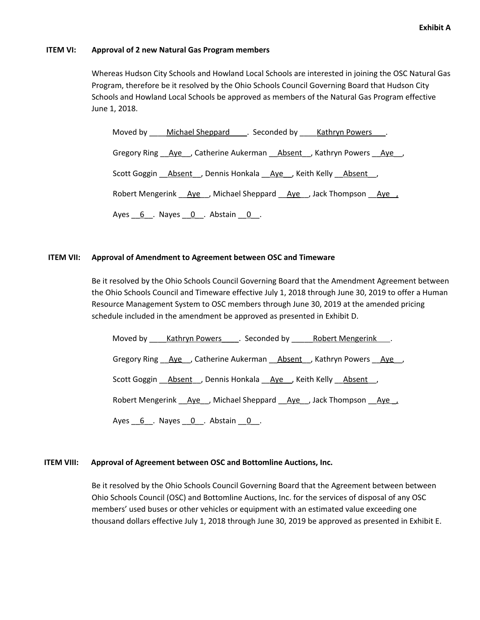## **ITEM VI: Approval of 2 new Natural Gas Program members**

Whereas Hudson City Schools and Howland Local Schools are interested in joining the OSC Natural Gas Program, therefore be it resolved by the Ohio Schools Council Governing Board that Hudson City Schools and Howland Local Schools be approved as members of the Natural Gas Program effective June 1, 2018.

Moved by Michael Sheppard \_\_\_. Seconded by \_\_\_\_\_Kathryn Powers \_\_\_. Gregory Ring Aye , Catherine Aukerman Absent , Kathryn Powers Aye, Scott Goggin **Absent**, Dennis Honkala Aye, Keith Kelly Absent, Robert Mengerink Aye, Michael Sheppard Aye, Jack Thompson Aye, Ayes  $6$ . Nayes  $0$ . Abstain  $0$ .

# **ITEM VII: Approval of Amendment to Agreement between OSC and Timeware**

Be it resolved by the Ohio Schools Council Governing Board that the Amendment Agreement between the Ohio Schools Council and Timeware effective July 1, 2018 through June 30, 2019 to offer a Human Resource Management System to OSC members through June 30, 2019 at the amended pricing schedule included in the amendment be approved as presented in Exhibit D.

|                                                  |                                                               | Moved by Kathryn Powers Conded by Robert Mengerink Noved by      |
|--------------------------------------------------|---------------------------------------------------------------|------------------------------------------------------------------|
|                                                  |                                                               | Gregory Ring Aye, Catherine Aukerman Absent, Kathryn Powers Aye, |
|                                                  | Scott Goggin Absent , Dennis Honkala Aye Keith Kelly Absent , |                                                                  |
|                                                  |                                                               | Robert Mengerink Aye, Michael Sheppard Aye, Jack Thompson Aye,   |
| Ayes $6$ $\ldots$ Nayes $0$ $\ldots$ Abstain $0$ |                                                               |                                                                  |

# **ITEM VIII: Approval of Agreement between OSC and Bottomline Auctions, Inc.**

Be it resolved by the Ohio Schools Council Governing Board that the Agreement between between Ohio Schools Council (OSC) and Bottomline Auctions, Inc. for the services of disposal of any OSC members' used buses or other vehicles or equipment with an estimated value exceeding one thousand dollars effective July 1, 2018 through June 30, 2019 be approved as presented in Exhibit E.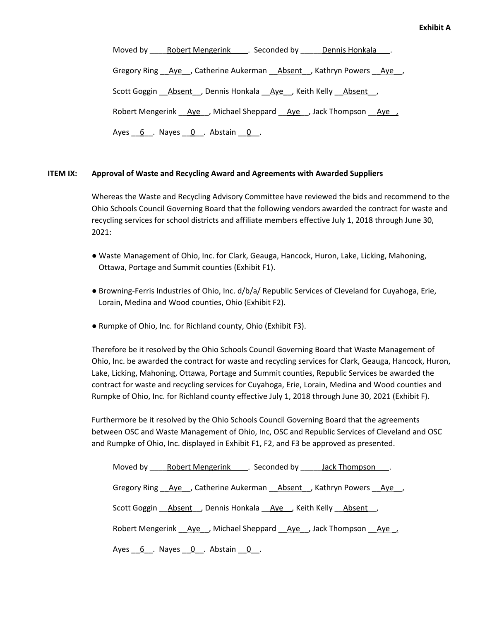Moved by Robert Mengerink \_\_\_. Seconded by \_\_\_\_\_Dennis Honkala \_\_\_. Gregory Ring Aye , Catherine Aukerman Absent , Kathryn Powers Aye, Scott Goggin \_\_Absent\_\_, Dennis Honkala \_\_Aye\_\_, Keith Kelly \_\_Absent\_\_, Robert Mengerink \_\_\_\_\_\_\_\_, Michael Sheppard \_\_\_\_\_\_\_\_\_\_\_, Jack Thompson \_\_\_\_\_\_\_\_\_\_ Ayes  $6$ . Nayes  $0$ . Abstain  $0$ .

# **ITEM IX: Approval of Waste and Recycling Award and Agreements with Awarded Suppliers**

Whereas the Waste and Recycling Advisory Committee have reviewed the bids and recommend to the Ohio Schools Council Governing Board that the following vendors awarded the contract for waste and recycling services for school districts and affiliate members effective July 1, 2018 through June 30, 2021:

- Waste Management of Ohio, Inc. for Clark, Geauga, Hancock, Huron, Lake, Licking, Mahoning, Ottawa, Portage and Summit counties (Exhibit F1).
- Browning-Ferris Industries of Ohio, Inc. d/b/a/ Republic Services of Cleveland for Cuyahoga, Erie, Lorain, Medina and Wood counties, Ohio (Exhibit F2).
- Rumpke of Ohio, Inc. for Richland county, Ohio (Exhibit F3).

Therefore be it resolved by the Ohio Schools Council Governing Board that Waste Management of Ohio, Inc. be awarded the contract for waste and recycling services for Clark, Geauga, Hancock, Huron, Lake, Licking, Mahoning, Ottawa, Portage and Summit counties, Republic Services be awarded the contract for waste and recycling services for Cuyahoga, Erie, Lorain, Medina and Wood counties and Rumpke of Ohio, Inc. for Richland county effective July 1, 2018 through June 30, 2021 (Exhibit F).

Furthermore be it resolved by the Ohio Schools Council Governing Board that the agreements between OSC and Waste Management of Ohio, Inc, OSC and Republic Services of Cleveland and OSC and Rumpke of Ohio, Inc. displayed in Exhibit F1, F2, and F3 be approved as presented.

| Moved by Robert Mengerink Conded by Jack Thompson Fig. 2.                                |
|------------------------------------------------------------------------------------------|
| Gregory Ring <u>Aye</u> , Catherine Aukerman <u>Absent</u> , Kathryn Powers <u>Aye</u> , |
| Scott Goggin Absent , Dennis Honkala Aye , Keith Kelly Absent,                           |
| Robert Mengerink Ave, Michael Sheppard Ave, Jack Thompson Ave                            |
| Ayes 6. Nayes 0. Abstain 0.                                                              |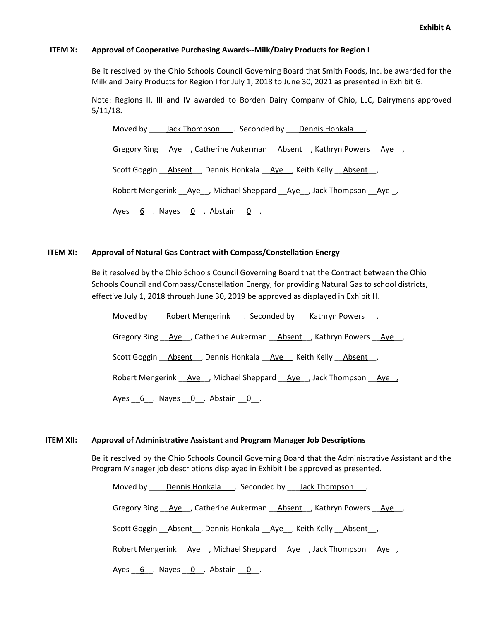# **ITEM X: Approval of Cooperative Purchasing Awards--Milk/Dairy Products for Region I**

Be it resolved by the Ohio Schools Council Governing Board that Smith Foods, Inc. be awarded for the Milk and Dairy Products for Region I for July 1, 2018 to June 30, 2021 as presented in Exhibit G.

Note: Regions II, III and IV awarded to Borden Dairy Company of Ohio, LLC, Dairymens approved 5/11/18.

Moved by <u>Jack Thompson</u> . Seconded by Dennis Honkala . Gregory Ring Aye , Catherine Aukerman Absent , Kathryn Powers Aye, Scott Goggin \_\_Absent\_\_, Dennis Honkala \_\_Aye\_\_, Keith Kelly \_\_Absent\_\_, Robert Mengerink Aye, Michael Sheppard Aye, Jack Thompson Aye, Ayes  $6$  . Nayes  $0$  . Abstain  $0$  .

# **ITEM XI: Approval of Natural Gas Contract with Compass/Constellation Energy**

Be it resolved by the Ohio Schools Council Governing Board that the Contract between the Ohio Schools Council and Compass/Constellation Energy, for providing Natural Gas to school districts, effective July 1, 2018 through June 30, 2019 be approved as displayed in Exhibit H.

Moved by Robert Mengerink . Seconded by Kathryn Powers . Gregory Ring \_\_Aye\_\_, Catherine Aukerman \_\_Absent\_\_, Kathryn Powers \_\_Aye\_\_, Scott Goggin **Absent**, Dennis Honkala Aye, Keith Kelly Absent, Robert Mengerink  $\overline{Aye}$ , Michael Sheppard  $\overline{Aye}$ , Jack Thompson  $\overline{Aye}$ Ayes  $6$  . Nayes  $0$  . Abstain  $0$  .

# **ITEM XII: Approval of Administrative Assistant and Program Manager Job Descriptions**

Be it resolved by the Ohio Schools Council Governing Board that the Administrative Assistant and the Program Manager job descriptions displayed in Exhibit I be approved as presented.

Moved by Dennis Honkala . Seconded by Jack Thompson .

Gregory Ring Aye , Catherine Aukerman Absent , Kathryn Powers Aye,

Scott Goggin \_\_\_\_\_\_\_\_\_\_\_\_\_\_\_\_, Dennis Honkala \_\_\_\_\_\_\_\_\_\_\_\_\_\_\_\_\_\_\_\_\_\_\_\_\_\_\_\_\_\_\_\_\_\_

Robert Mengerink Aye , Michael Sheppard Aye , Jack Thompson \_\_Aye \_\_,

Ayes  $6$  . Nayes  $0$  . Abstain  $0$  .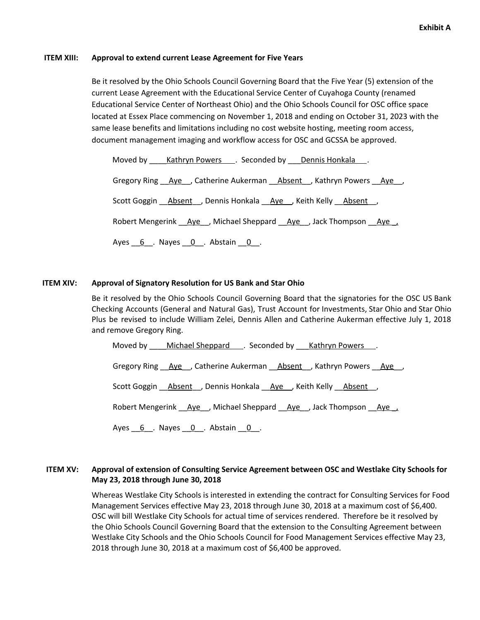### **ITEM XIII: Approval to extend current Lease Agreement for Five Years**

Be it resolved by the Ohio Schools Council Governing Board that the Five Year (5) extension of the current Lease Agreement with the Educational Service Center of Cuyahoga County (renamed Educational Service Center of Northeast Ohio) and the Ohio Schools Council for OSC office space located at Essex Place commencing on November 1, 2018 and ending on October 31, 2023 with the same lease benefits and limitations including no cost website hosting, meeting room access, document management imaging and workflow access for OSC and GCSSA be approved.

Moved by \_\_\_\_Kathryn Powers \_\_\_. Seconded by \_\_\_\_Dennis Honkala \_\_\_.

Gregory Ring \_\_\_\_\_\_\_\_, Catherine Aukerman \_\_\_\_\_\_\_\_\_\_\_\_\_\_\_\_\_, Kathryn Powers \_\_\_\_\_\_\_\_,

Scott Goggin **Absent**, Dennis Honkala Aye, Keith Kelly Absent,

Robert Mengerink  $\overline{Aye}$ , Michael Sheppard  $\overline{Aye}$ , Jack Thompson  $\overline{Aye}$ 

Ayes  $6$  . Nayes  $0$  . Abstain  $0$  .

# **ITEM XIV: Approval of Signatory Resolution for US Bank and Star Ohio**

Be it resolved by the Ohio Schools Council Governing Board that the signatories for the OSC US Bank Checking Accounts (General and Natural Gas), Trust Account for Investments, Star Ohio and Star Ohio Plus be revised to include William Zelei, Dennis Allen and Catherine Aukerman effective July 1, 2018 and remove Gregory Ring.

Moved by \_\_\_\_Michael Sheppard \_\_\_\_. Seconded by \_\_\_\_Kathryn Powers \_\_\_.

Gregory Ring Aye , Catherine Aukerman Absent , Kathryn Powers Aye,

Scott Goggin \_\_\_\_\_\_\_\_\_\_\_\_\_\_, Dennis Honkala \_\_\_\_\_\_\_\_\_\_\_\_, Keith Kelly \_\_\_\_\_\_\_\_\_\_\_

Robert Mengerink  $\overline{Aye}$ , Michael Sheppard  $\overline{Aye}$ , Jack Thompson  $\overline{Aye}$ 

Ayes  $6$  . Nayes  $0$  . Abstain  $0$  .

# **ITEM XV: Approval of extension of Consulting Service Agreement between OSC and Westlake City Schools for May 23, 2018 through June 30, 2018**

Whereas Westlake City Schools is interested in extending the contract for Consulting Services for Food Management Services effective May 23, 2018 through June 30, 2018 at a maximum cost of \$6,400. OSC will bill Westlake City Schools for actual time of services rendered. Therefore be it resolved by the Ohio Schools Council Governing Board that the extension to the Consulting Agreement between Westlake City Schools and the Ohio Schools Council for Food Management Services effective May 23, 2018 through June 30, 2018 at a maximum cost of \$6,400 be approved.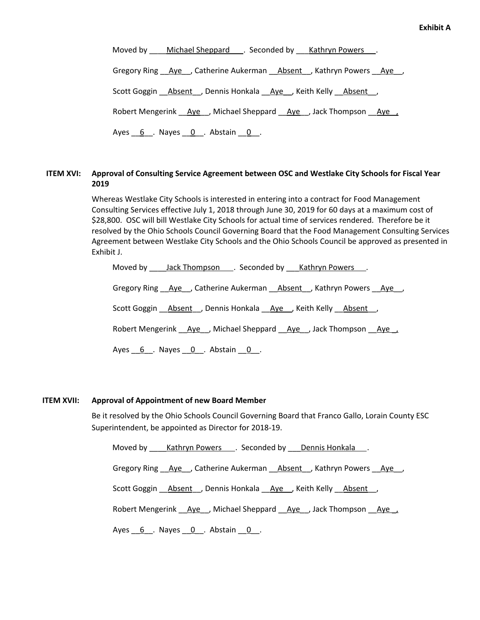| Moved by ____ Michael Sheppard ____. Seconded by ____ Kathryn Powers ___.        |
|----------------------------------------------------------------------------------|
| Gregory Ring Aye, Catherine Aukerman Absent, Kathryn Powers Aye,                 |
| Scott Goggin Absent , Dennis Honkala Aye , Keith Kelly Absent ,                  |
| Robert Mengerink __ Aye __, Michael Sheppard __ Aye __, Jack Thompson __ Aye __, |
| Ayes $6$ . Nayes $0$ . Abstain $0$ .                                             |

# **ITEM XVI: Approval of Consulting Service Agreement between OSC and Westlake City Schools for Fiscal Year 2019**

Whereas Westlake City Schools is interested in entering into a contract for Food Management Consulting Services effective July 1, 2018 through June 30, 2019 for 60 days at a maximum cost of \$28,800. OSC will bill Westlake City Schools for actual time of services rendered. Therefore be it resolved by the Ohio Schools Council Governing Board that the Food Management Consulting Services Agreement between Westlake City Schools and the Ohio Schools Council be approved as presented in Exhibit J.

Moved by <u>Jack Thompson</u> . Seconded by Kathryn Powers . Gregory Ring \_\_\_\_\_\_\_\_, Catherine Aukerman \_\_\_\_\_\_\_\_\_\_\_\_\_\_\_\_\_, Kathryn Powers \_\_\_\_\_\_\_\_, Scott Goggin \_\_\_\_\_\_\_\_\_\_\_\_\_\_\_, Dennis Honkala \_\_\_\_\_Aye\_\_\_, Keith Kelly \_\_\_\_\_\_\_\_\_\_\_ Robert Mengerink Aye, Michael Sheppard Aye, Jack Thompson Aye, Ayes  $6$  . Nayes  $0$  . Abstain  $0$  .

# **ITEM XVII: Approval of Appointment of new Board Member**

Be it resolved by the Ohio Schools Council Governing Board that Franco Gallo, Lorain County ESC Superintendent, be appointed as Director for 2018-19.

Moved by \_\_\_\_\_Kathryn Powers \_\_\_\_. Seconded by \_\_\_\_Dennis Honkala \_\_\_.

Gregory Ring Aye , Catherine Aukerman Absent , Kathryn Powers Aye,

Scott Goggin **Absent**, Dennis Honkala Aye, Keith Kelly Absent,

Robert Mengerink Aye , Michael Sheppard Aye , Jack Thompson Aye ,

Ayes  $6$  . Nayes  $0$  . Abstain  $0$  .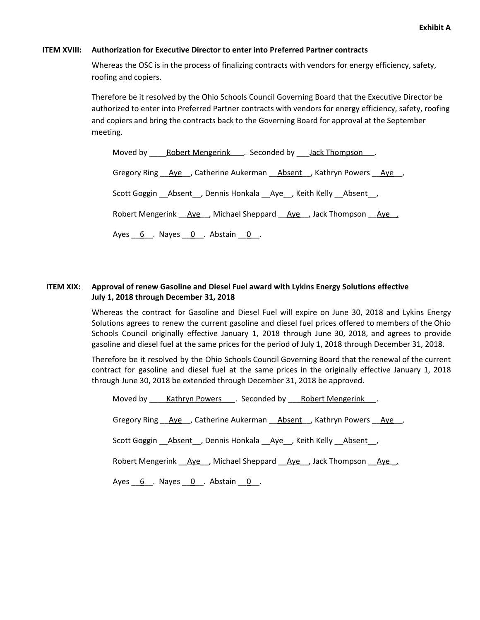# **ITEM XVIII: Authorization for Executive Director to enter into Preferred Partner contracts**

Whereas the OSC is in the process of finalizing contracts with vendors for energy efficiency, safety, roofing and copiers.

Therefore be it resolved by the Ohio Schools Council Governing Board that the Executive Director be authorized to enter into Preferred Partner contracts with vendors for energy efficiency, safety, roofing and copiers and bring the contracts back to the Governing Board for approval at the September meeting.

Moved by \_\_\_\_\_Robert Mengerink \_\_\_\_\_\_\_\_ Seconded by \_\_\_\_Jack Thompson \_\_\_\_. Gregory Ring Aye, Catherine Aukerman Absent, Kathryn Powers Aye, Scott Goggin \_\_Absent\_\_, Dennis Honkala \_\_Aye\_\_, Keith Kelly \_\_Absent\_\_, Robert Mengerink Aye , Michael Sheppard Aye , Jack Thompson Aye , Ayes  $6$  . Nayes  $0$  . Abstain  $0$  .

# **ITEM XIX: Approval of renew Gasoline and Diesel Fuel award with Lykins Energy Solutions effective July 1, 2018 through December 31, 2018**

Whereas the contract for Gasoline and Diesel Fuel will expire on June 30, 2018 and Lykins Energy Solutions agrees to renew the current gasoline and diesel fuel prices offered to members of the Ohio Schools Council originally effective January 1, 2018 through June 30, 2018, and agrees to provide gasoline and diesel fuel at the same prices for the period of July 1, 2018 through December 31, 2018.

Therefore be it resolved by the Ohio Schools Council Governing Board that the renewal of the current contract for gasoline and diesel fuel at the same prices in the originally effective January 1, 2018 through June 30, 2018 be extended through December 31, 2018 be approved.

Moved by Kathryn Powers . Seconded by Robert Mengerink .

Gregory Ring Aye , Catherine Aukerman Absent , Kathryn Powers Aye,

Scott Goggin **Absent**, Dennis Honkala Aye, Keith Kelly Absent,

Robert Mengerink Aye, Michael Sheppard Aye, Jack Thompson Aye,

Ayes  $6$  . Nayes  $0$  . Abstain  $0$  .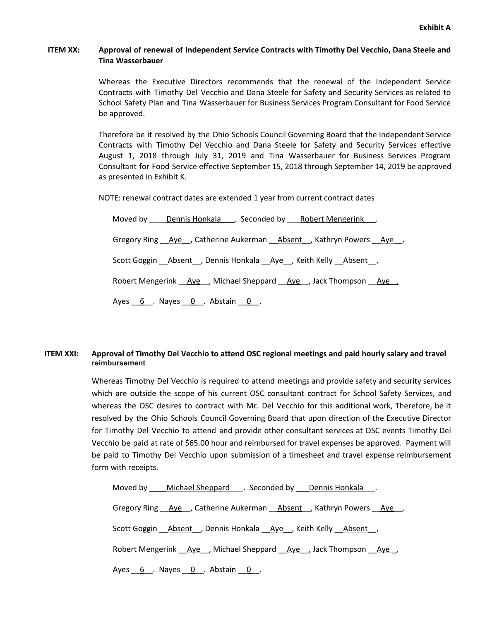# **ITEM XX: Approval of renewal of Independent Service Contracts with Timothy Del Vecchio, Dana Steele and Tina Wasserbauer**

Whereas the Executive Directors recommends that the renewal of the Independent Service Contracts with Timothy Del Vecchio and Dana Steele for Safety and Security Services as related to School Safety Plan and Tina Wasserbauer for Business Services Program Consultant for Food Service be approved.

Therefore be it resolved by the Ohio Schools Council Governing Board that the Independent Service Contracts with Timothy Del Vecchio and Dana Steele for Safety and Security Services effective August 1, 2018 through July 31, 2019 and Tina Wasserbauer for Business Services Program Consultant for Food Service effective September 15, 2018 through September 14, 2019 be approved as presented in Exhibit K.

NOTE: renewal contract dates are extended 1 year from current contract dates

| Moved by Dennis Honkala C. Seconded by Robert Mengerink.         |
|------------------------------------------------------------------|
| Gregory Ring Aye, Catherine Aukerman Absent, Kathryn Powers Aye, |
| Scott Goggin Absent, Dennis Honkala Aye Keith Kelly Absent,      |
| Robert Mengerink Aye, Michael Sheppard Aye, Jack Thompson Aye,   |
| Ayes $6$ . Nayes $0$ . Abstain $0$ .                             |

# ITEM XXI: Approval of Timothy Del Vecchio to attend OSC regional meetings and paid hourly salary and travel **reimbursement**

Whereas Timothy Del Vecchio is required to attend meetings and provide safety and security services which are outside the scope of his current OSC consultant contract for School Safety Services, and whereas the OSC desires to contract with Mr. Del Vecchio for this additional work, Therefore, be it resolved by the Ohio Schools Council Governing Board that upon direction of the Executive Director for Timothy Del Vecchio to attend and provide other consultant services at OSC events Timothy Del Vecchio be paid at rate of \$65.00 hour and reimbursed for travel expenses be approved. Payment will be paid to Timothy Del Vecchio upon submission of a timesheet and travel expense reimbursement form with receipts.

| Moved by Michael Sheppard Seconded by Dennis Honkala Michael Sheppard Seconded by Dennis Honkala |
|--------------------------------------------------------------------------------------------------|
| Gregory Ring <u>Aye</u> , Catherine Aukerman Absent , Kathryn Powers Aye,                        |
| Scott Goggin Absent J, Dennis Honkala Aye J, Keith Kelly Absent J                                |
| Robert Mengerink Aye, Michael Sheppard Aye, Jack Thompson Aye                                    |
| Ayes $6$ . Nayes $0$ . Abstain $0$ .                                                             |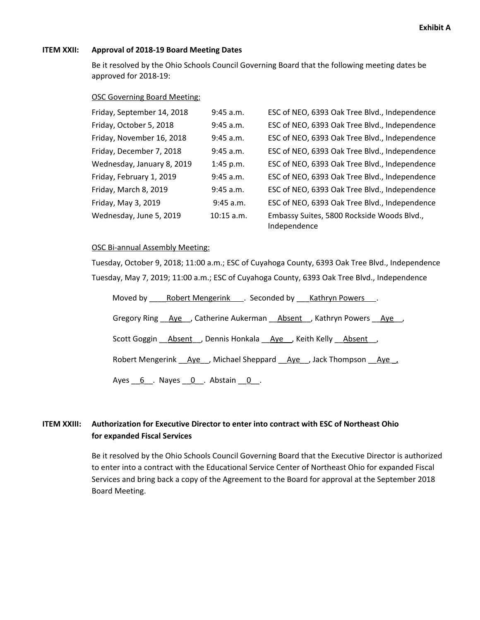## **ITEM XXII: Approval of 2018-19 Board Meeting Dates**

Be it resolved by the Ohio Schools Council Governing Board that the following meeting dates be approved for 2018-19:

## OSC Governing Board Meeting:

| Friday, September 14, 2018 | $9:45$ a.m.  | ESC of NEO, 6393 Oak Tree Blvd., Independence              |
|----------------------------|--------------|------------------------------------------------------------|
| Friday, October 5, 2018    | 9:45 a.m.    | ESC of NEO, 6393 Oak Tree Blvd., Independence              |
| Friday, November 16, 2018  | $9:45$ a.m.  | ESC of NEO, 6393 Oak Tree Blvd., Independence              |
| Friday, December 7, 2018   | $9:45$ a.m.  | ESC of NEO, 6393 Oak Tree Blvd., Independence              |
| Wednesday, January 8, 2019 | $1:45$ p.m.  | ESC of NEO, 6393 Oak Tree Blvd., Independence              |
| Friday, February 1, 2019   | 9:45 a.m.    | ESC of NEO, 6393 Oak Tree Blvd., Independence              |
| Friday, March 8, 2019      | $9:45$ a.m.  | ESC of NEO, 6393 Oak Tree Blvd., Independence              |
| Friday, May 3, 2019        | 9:45 a.m.    | ESC of NEO, 6393 Oak Tree Blvd., Independence              |
| Wednesday, June 5, 2019    | $10:15$ a.m. | Embassy Suites, 5800 Rockside Woods Blvd.,<br>Independence |

### OSC Bi-annual Assembly Meeting:

Tuesday, October 9, 2018; 11:00 a.m.; ESC of Cuyahoga County, 6393 Oak Tree Blvd., Independence Tuesday, May 7, 2019; 11:00 a.m.; ESC of Cuyahoga County, 6393 Oak Tree Blvd., Independence

| Moved by Robert Mengerink Seconded by Kathryn Powers.                             |
|-----------------------------------------------------------------------------------|
| Gregory Ring Aye, Catherine Aukerman Absent, Kathryn Powers Aye,                  |
| Scott Goggin Absent, Dennis Honkala Aye J, Keith Kelly Absent,                    |
| Robert Mengerink __ Aye __ , Michael Sheppard __ Aye __ , Jack Thompson __ Aye __ |
| Ayes $6$ . Nayes $0$ . Abstain $0$ .                                              |

# **ITEM XXIII: Authorization for Executive Director to enter into contract with ESC of Northeast Ohio for expanded Fiscal Services**

Be it resolved by the Ohio Schools Council Governing Board that the Executive Director is authorized to enter into a contract with the Educational Service Center of Northeast Ohio for expanded Fiscal Services and bring back a copy of the Agreement to the Board for approval at the September 2018 Board Meeting.